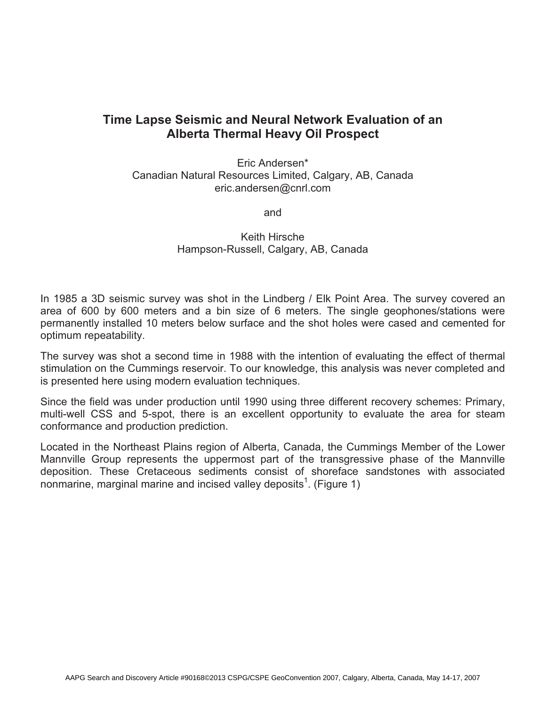## **Time Lapse Seismic and Neural Network Evaluation of an Alberta Thermal Heavy Oil Prospect**

Eric Andersen\* Canadian Natural Resources Limited, Calgary, AB, Canada eric.andersen@cnrl.com

and

Keith Hirsche Hampson-Russell, Calgary, AB, Canada

In 1985 a 3D seismic survey was shot in the Lindberg / Elk Point Area. The survey covered an area of 600 by 600 meters and a bin size of 6 meters. The single geophones/stations were permanently installed 10 meters below surface and the shot holes were cased and cemented for optimum repeatability.

The survey was shot a second time in 1988 with the intention of evaluating the effect of thermal stimulation on the Cummings reservoir. To our knowledge, this analysis was never completed and is presented here using modern evaluation techniques.

Since the field was under production until 1990 using three different recovery schemes: Primary, multi-well CSS and 5-spot, there is an excellent opportunity to evaluate the area for steam conformance and production prediction.

Located in the Northeast Plains region of Alberta, Canada, the Cummings Member of the Lower Mannville Group represents the uppermost part of the transgressive phase of the Mannville deposition. These Cretaceous sediments consist of shoreface sandstones with associated nonmarine, marginal marine and incised valley deposits<sup>1</sup>. (Figure 1)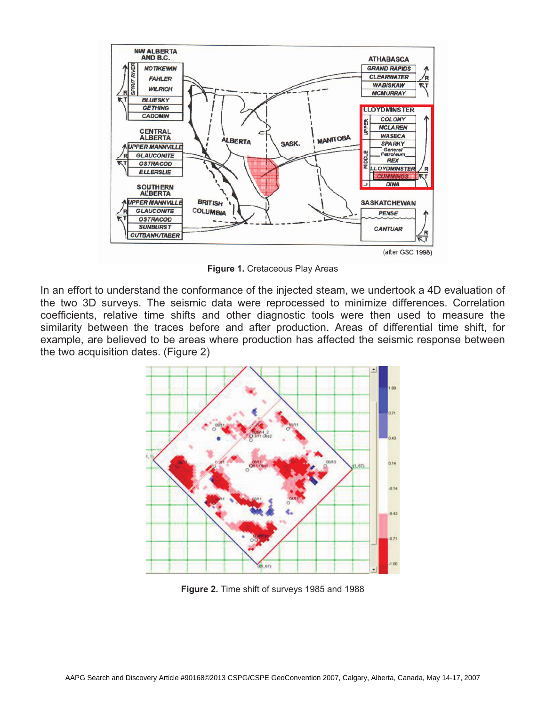

**Figure 1.** Cretaceous Play Areas

In an effort to understand the conformance of the injected steam, we undertook a 4D evaluation of the two 3D surveys. The seismic data were reprocessed to minimize differences. Correlation coefficients, relative time shifts and other diagnostic tools were then used to measure the similarity between the traces before and after production. Areas of differential time shift, for example, are believed to be areas where production has affected the seismic response between the two acquisition dates. (Figure 2)



**Figure 2.** Time shift of surveys 1985 and 1988